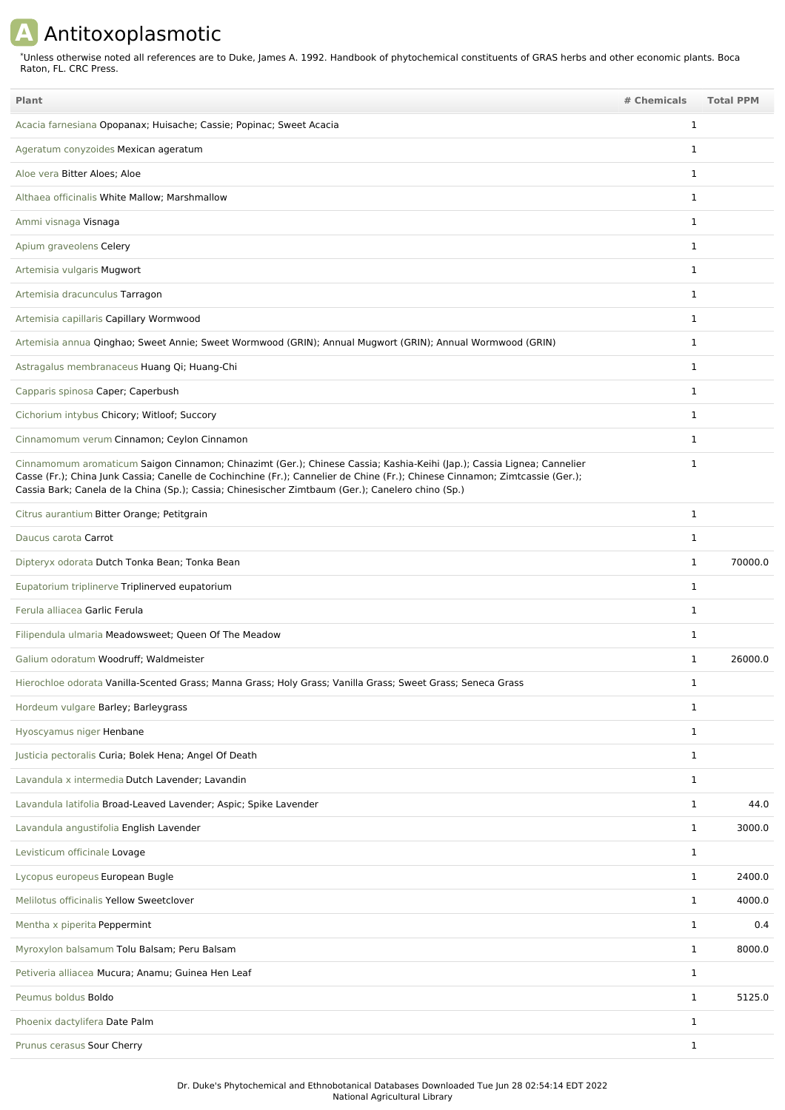## **A** Antitoxoplasmotic

Unless otherwise noted all references are to Duke, James A. 1992. Handbook of phytochemical constituents of GRAS herbs and other economic plants. Boca Raton, FL. CRC Press. \*

| Plant                                                                                                                                                                                                                                                                                                                                                       | # Chemicals  | <b>Total PPM</b> |
|-------------------------------------------------------------------------------------------------------------------------------------------------------------------------------------------------------------------------------------------------------------------------------------------------------------------------------------------------------------|--------------|------------------|
| Acacia farnesiana Opopanax; Huisache; Cassie; Popinac; Sweet Acacia                                                                                                                                                                                                                                                                                         | 1            |                  |
| Ageratum conyzoides Mexican ageratum                                                                                                                                                                                                                                                                                                                        | 1            |                  |
| Aloe vera Bitter Aloes; Aloe                                                                                                                                                                                                                                                                                                                                | $\mathbf 1$  |                  |
| Althaea officinalis White Mallow; Marshmallow                                                                                                                                                                                                                                                                                                               | $\mathbf 1$  |                  |
| Ammi visnaga Visnaga                                                                                                                                                                                                                                                                                                                                        | 1            |                  |
| Apium graveolens Celery                                                                                                                                                                                                                                                                                                                                     | 1            |                  |
| Artemisia vulgaris Mugwort                                                                                                                                                                                                                                                                                                                                  | 1            |                  |
| Artemisia dracunculus Tarragon                                                                                                                                                                                                                                                                                                                              | 1            |                  |
| Artemisia capillaris Capillary Wormwood                                                                                                                                                                                                                                                                                                                     | 1            |                  |
| Artemisia annua Qinghao; Sweet Annie; Sweet Wormwood (GRIN); Annual Mugwort (GRIN); Annual Wormwood (GRIN)                                                                                                                                                                                                                                                  | 1            |                  |
| Astragalus membranaceus Huang Qi; Huang-Chi                                                                                                                                                                                                                                                                                                                 | 1            |                  |
| Capparis spinosa Caper; Caperbush                                                                                                                                                                                                                                                                                                                           | 1            |                  |
| Cichorium intybus Chicory; Witloof; Succory                                                                                                                                                                                                                                                                                                                 | $\mathbf 1$  |                  |
| Cinnamomum verum Cinnamon; Ceylon Cinnamon                                                                                                                                                                                                                                                                                                                  | 1            |                  |
| Cinnamomum aromaticum Saigon Cinnamon; Chinazimt (Ger.); Chinese Cassia; Kashia-Keihi (Jap.); Cassia Lignea; Cannelier<br>Casse (Fr.); China Junk Cassia; Canelle de Cochinchine (Fr.); Cannelier de Chine (Fr.); Chinese Cinnamon; Zimtcassie (Ger.);<br>Cassia Bark; Canela de la China (Sp.); Cassia; Chinesischer Zimtbaum (Ger.); Canelero chino (Sp.) | 1            |                  |
| Citrus aurantium Bitter Orange; Petitgrain                                                                                                                                                                                                                                                                                                                  | 1            |                  |
| Daucus carota Carrot                                                                                                                                                                                                                                                                                                                                        | 1            |                  |
| Dipteryx odorata Dutch Tonka Bean; Tonka Bean                                                                                                                                                                                                                                                                                                               | 1            | 70000.0          |
| Eupatorium triplinerve Triplinerved eupatorium                                                                                                                                                                                                                                                                                                              | 1            |                  |
| Ferula alliacea Garlic Ferula                                                                                                                                                                                                                                                                                                                               | 1            |                  |
| Filipendula ulmaria Meadowsweet; Queen Of The Meadow                                                                                                                                                                                                                                                                                                        | 1            |                  |
| Galium odoratum Woodruff; Waldmeister                                                                                                                                                                                                                                                                                                                       | 1            | 26000.0          |
| Hierochloe odorata Vanilla-Scented Grass; Manna Grass; Holy Grass; Vanilla Grass; Sweet Grass; Seneca Grass                                                                                                                                                                                                                                                 | 1            |                  |
| Hordeum vulgare Barley; Barleygrass                                                                                                                                                                                                                                                                                                                         | 1            |                  |
| Hyoscyamus niger Henbane                                                                                                                                                                                                                                                                                                                                    | $\mathbf{1}$ |                  |
| Justicia pectoralis Curia; Bolek Hena; Angel Of Death                                                                                                                                                                                                                                                                                                       | $\mathbf 1$  |                  |
| Lavandula x intermedia Dutch Lavender; Lavandin                                                                                                                                                                                                                                                                                                             | $\mathbf{1}$ |                  |
| Lavandula latifolia Broad-Leaved Lavender; Aspic; Spike Lavender                                                                                                                                                                                                                                                                                            | $\mathbf 1$  | 44.0             |
| Lavandula angustifolia English Lavender                                                                                                                                                                                                                                                                                                                     | 1            | 3000.0           |
| Levisticum officinale Lovage                                                                                                                                                                                                                                                                                                                                | 1            |                  |
| Lycopus europeus European Bugle                                                                                                                                                                                                                                                                                                                             | $\mathbf 1$  | 2400.0           |
| Melilotus officinalis Yellow Sweetclover                                                                                                                                                                                                                                                                                                                    | $\mathbf{1}$ | 4000.0           |
| Mentha x piperita Peppermint                                                                                                                                                                                                                                                                                                                                | $\mathbf 1$  | 0.4              |
| Myroxylon balsamum Tolu Balsam; Peru Balsam                                                                                                                                                                                                                                                                                                                 | $\mathbf{1}$ | 8000.0           |
| Petiveria alliacea Mucura; Anamu; Guinea Hen Leaf                                                                                                                                                                                                                                                                                                           | $\mathbf 1$  |                  |
| Peumus boldus Boldo                                                                                                                                                                                                                                                                                                                                         | $\mathbf{1}$ | 5125.0           |
| Phoenix dactylifera Date Palm                                                                                                                                                                                                                                                                                                                               | $\mathbf{1}$ |                  |
| Prunus cerasus Sour Cherry                                                                                                                                                                                                                                                                                                                                  | $\mathbf{1}$ |                  |